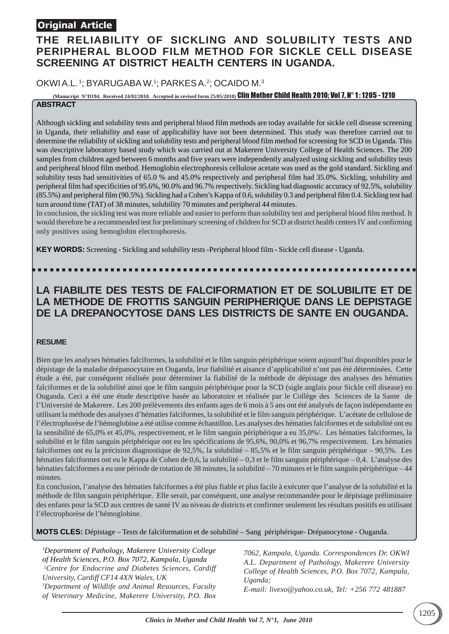# Original Article

# **THE RELIABILITY OF SICKLING AND SOLUBILITY TESTS AND PERIPHERAL BLOOD FILM METHOD FOR SICKLE CELL DISEASE SCREENING AT DISTRICT HEALTH CENTERS IN UGANDA.**

# OKWI A.L. <sup>1</sup>; BYARUGABA W. 1; PARKES A. <sup>2</sup>; OCAIDO M. <sup>3</sup>

**(Manucript N°D194. Received 24/02/2010. Accepted in revised form 25/05/2010)** Clin Mother Child Health 2010; Vol 7, N° 1 : 1205 - 1210

## **ABSTRACT**

Although sickling and solubility tests and peripheral blood film methods are today available for sickle cell disease screening in Uganda, their reliability and ease of applicability have not been determined. This study was therefore carried out to determine the reliability of sickling and solubility tests and peripheral blood film method for screening for SCD in Uganda. This was descriptive laboratory based study which was carried out at Makerere University College of Health Sciences. The 200 samples from children aged between 6 months and five years were independently analyzed using sickling and solubility tests and peripheral blood film method. Hemoglobin electrophoresis cellulose acetate was used as the gold standard. Sickling and solubility tests had sensitivities of 65.0 % and 45.0% respectively and peripheral film had 35.0%. Sickling, solubility and peripheral film had specificities of 95.6%, 90.0% and 96.7% respectively. Sickling had diagnostic accuracy of 92.5%, solubility (85.5%) and peripheral film (90.5%). Sickling had a Cohen's Kappa of 0.6, solubility 0.3 and peripheral film 0.4. Sickling test had turn around time (TAT) of 38 minutes, solubility 70 minutes and peripheral 44 minutes.

In conclusion, the sickling test was more reliable and easier to perform than solubility test and peripheral blood film method. It would therefore be a recommended test for preliminary screening of children for SCD at district health centers IV and confirming only positives using hemoglobin electrophoresis.

**KEY WORDS:** Screening - Sickling and solubility tests -Peripheral blood film - Sickle cell disease - Uganda.

# **LA FIABILITE DES TESTS DE FALCIFORMATION ET DE SOLUBILITE ET DE LA METHODE DE FROTTIS SANGUIN PERIPHERIQUE DANS LE DEPISTAGE DE LA DREPANOCYTOSE DANS LES DISTRICTS DE SANTE EN OUGANDA.**

### **RESUME**

Bien que les analyses hématies falciformes, la solubilité et le film sanguin périphérique soient aujourd'hui disponibles pour le dépistage de la maladie drépanocytaire en Ouganda, leur fiabilité et aisance d'applicabilité n'ont pas été déterminées. Cette étude a été, par conséquent réalisée pour déterminer la fiabilité de la méthode de dépistage des analyses des hématies falciformes et de la solubilité ainsi que le film sanguin périphérique pour la SCD (sigle anglais pour Sickle cell disease) en Ouganda. Ceci a été une étude descriptive basée au laboratoire et réalisée par le Collège des Sciences de la Sante de l'Université de Makerere. Les 200 prélèvements des enfants ages de 6 mois à 5 ans ont été analysés de façon indépendante en utilisant la méthode des analyses d'hématies falciformes, la solubilité et le film sanguin périphérique. L'acétate de cellulose de l'électrophorèse de l'hémoglobine a été utilise comme échantillon. Les analyses des hématies falciformes et de solubilité ont eu la sensibilité de 65,0% et 45,0%, respectivement, et le film sanguin périphérique a eu 35,0%/. Les hématies falciformes, la solubilité et le film sanguin périphérique ont eu les spécifications de 95,6%, 90,0% et 96,7% respectivement. Les hématies falciformes ont eu la précision diagnostique de 92,5%, la solubilité – 85,5% et le film sanguin périphérique – 90,5%. Les hématies falciformes ont eu le Kappa de Cohen de 0,6, la solubilité – 0,3 et le film sanguin périphérique – 0,4. L'analyse des hématies falciformes a eu une période de rotation de 38 minutes, la solubilité – 70 minutes et le film sanguin périphérique – 44 minutes.

En conclusion, l'analyse des hématies falciformes a été plus fiable et plus facile à exécuter que l'analyse de la solubilité et la méthode de film sanguin périphérique. Elle serait, par conséquent, une analyse recommandée pour le dépistage préliminaire des enfants pour la SCD aux centres de santé IV au niveau de districts et confirmer seulement les résultats positifs en utilisant l'électrophorèse de l'hémoglobine.

**MOTS CLES:** Dépistage – Tests de falciformation et de solubilité – Sang périphérique- Drépanocytose - Ouganda.

*1 Department of Pathology, Makerere University College of Health Sciences, P.O. Box 7072, Kampala, Uganda 2Centre for Endocrine and Diabetes Sciences, Cardiff University, Cardiff CF14 4XN Wales, UK 3 Department of Wildlife and Animal Resources, Faculty of Veterinary Medicine, Makerere University, P.O. Box*

*7062, Kampala, Uganda. Correspondences Dr. OKWI A.L. Department of Pathology, Makerere University College of Health Sciences, P.O. Box 7072, Kampala, Uganda; E-mail: livexo@yahoo.co.uk, Tel: +256 772 481887*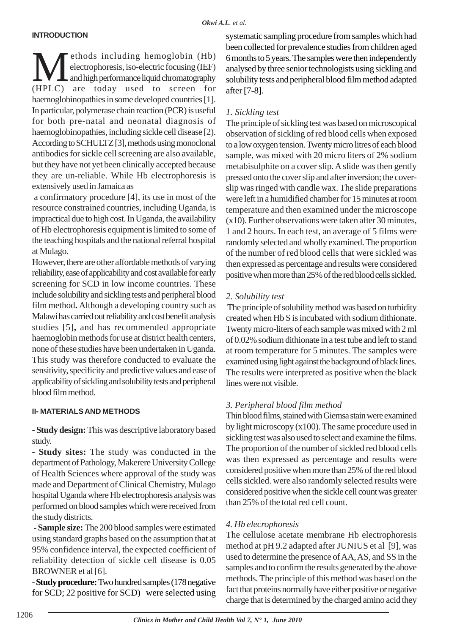# **INTRODUCTION**

Methods including hemoglobin (Hb)<br>electrophoresis, iso-electric focusing (IEF)<br>and high performance liquid chromatography<br>(HPLC) are today used to screen for electrophoresis, iso-electric focusing (IEF) and high performance liquid chromatography (HPLC) are today used to screen for haemoglobinopathies in some developed countries [1]. In particular, polymerase chain reaction (PCR) is useful for both pre-natal and neonatal diagnosis of haemoglobinopathies, including sickle cell disease [2). According to SCHULTZ [3], methods using monoclonal antibodies for sickle cell screening are also available, but they have not yet been clinically accepted because they are un-reliable. While Hb electrophoresis is extensively used in Jamaica as

 a confirmatory procedure [4], its use in most of the resource constrained countries, including Uganda, is impractical due to high cost. In Uganda, the availability of Hb electrophoresis equipment is limited to some of the teaching hospitals and the national referral hospital at Mulago.

However, there are other affordable methods of varying reliability, ease of applicability and cost available for early screening for SCD in low income countries. These include solubility and sickling tests and peripheral blood film method**.** Although a developing country such as Malawi has carried out reliability and cost benefit analysis studies [5]**,** and has recommended appropriate haemoglobin methods for use at district health centers, none of these studies have been undertaken in Uganda. This study was therefore conducted to evaluate the sensitivity, specificity and predictive values and ease of applicability of sickling and solubility tests and peripheral blood film method.

# **II- MATERIALS AND METHODS**

**- Study design:** This was descriptive laboratory based study.

**- Study sites:** The study was conducted in the department of Pathology, Makerere University College of Health Sciences where approval of the study was made and Department of Clinical Chemistry, Mulago hospital Uganda where Hb electrophoresis analysis was performed on blood samples which were received from the study districts.

**- Sample size:** The 200 blood samples were estimated using standard graphs based on the assumption that at 95% confidence interval, the expected coefficient of reliability detection of sickle cell disease is 0.05 BROWNER et al [6].

**- Study procedure:** Two hundred samples(178 negative for SCD; 22 positive for SCD) were selected using systematic sampling procedure from samples which had been collected for prevalence studies from children aged 6 months to 5 years. The samples were then independently analysed by three senior technologists using sickling and solubility tests and peripheral blood film method adapted after [7-8].

# *1. Sickling test*

The principle of sickling test was based on microscopical observation of sickling of red blood cells when exposed to a low oxygen tension. Twenty micro litres of each blood sample, was mixed with 20 micro liters of 2% sodium metabisulphite on a cover slip. A slide was then gently pressed onto the cover slip and after inversion; the coverslip was ringed with candle wax. The slide preparations were left in a humidified chamber for 15 minutes at room temperature and then examined under the microscope (x10). Further observations were taken after 30 minutes, 1 and 2 hours. In each test, an average of 5 films were randomly selected and wholly examined. The proportion of the number of red blood cells that were sickled was then expressed as percentage and results were considered positive when more than 25% of the red blood cells sickled.

# *2. Solubility test*

 The principle of solubility method was based on turbidity created when Hb S is incubated with sodium dithionate. Twenty micro-liters of each sample was mixed with 2 ml of 0.02% sodium dithionate in a test tube and left to stand at room temperature for 5 minutes. The samples were examined using light against the background of black lines. The results were interpreted as positive when the black lines were not visible.

# *3. Peripheral blood film method*

Thin blood films, stained with Giemsa stain were examined by light microscopy (x100). The same procedure used in sickling test was also used to select and examine the films. The proportion of the number of sickled red blood cells was then expressed as percentage and results were considered positive when more than 25% of the red blood cells sickled. were also randomly selected results were considered positive when the sickle cell count was greater than 25% of the total red cell count.

# *4. Hb elecrophoresis*

The cellulose acetate membrane Hb electrophoresis method at pH 9.2 adapted after JUNIUS et al [9], was used to determine the presence of AA, AS, and SS in the samples and to confirm the results generated by the above methods. The principle of this method was based on the fact that proteins normally have either positive or negative charge that is determined by the charged amino acid they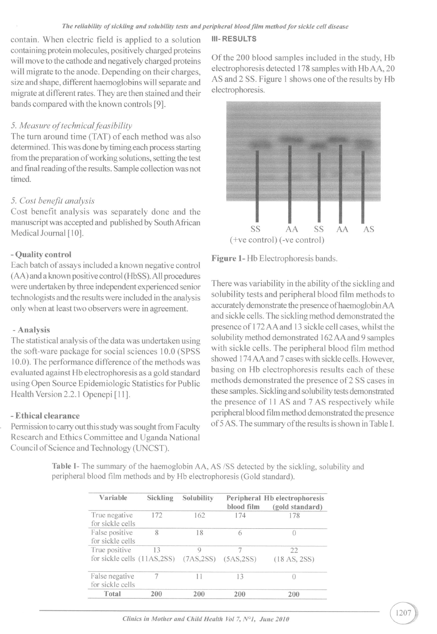### The reliability of sickling and solubility tests and peripheral blood film method for sickle cell disease

**III-RESULTS** 

contain. When electric field is applied to a solution containing protein molecules, positively charged proteins will move to the cathode and negatively charged proteins will migrate to the anode. Depending on their charges, size and shape, different haemoglobins will separate and migrate at different rates. They are then stained and their bands compared with the known controls [9].

### 5. Measure of technical feasibility

The turn around time (TAT) of each method was also determined. This was done by timing each process starting from the preparation of working solutions, setting the test and final reading of the results. Sample collection was not timed

## 5. Cost benefit analysis

Cost benefit analysis was separately done and the manuscript was accepted and published by South African Medical Journal [10].

### - Quality control

Each batch of assays included a known negative control (AA) and a known positive control (HbSS). All procedures were undertaken by three independent experienced senior technologists and the results were included in the analysis only when at least two observers were in agreement.

## - Analysis

The statistical analysis of the data was undertaken using the soft-ware package for social sciences 10.0 (SPSS) 10.0). The performance difference of the methods was evaluated against Hb electrophoresis as a gold standard using Open Source Epidemiologic Statistics for Public Health Version 2.2.1 Openepi [11].

## - Ethical clearance

Permission to carry out this study was sought from Faculty Research and Ethics Committee and Uganda National Council of Science and Technology (UNCST).

Of the 200 blood samples included in the study, Hb

electrophoresis detected 178 samples with Hb AA, 20 AS and 2 SS. Figure 1 shows one of the results by Hb electrophoresis.



Figure 1-Hb Electrophoresis bands.

There was variability in the ability of the sickling and solubility tests and peripheral blood film methods to accurately demonstrate the presence of haemoglobin AA and sickle cells. The sickling method demonstrated the presence of 172 AA and 13 sickle cell cases, whilst the solubility method demonstrated 162 AA and 9 samples with sickle cells. The peripheral blood film method showed 174 AA and 7 cases with sickle cells. However, basing on Hb electrophoresis results each of these methods demonstrated the presence of 2 SS cases in these samples. Sickling and solubility tests demonstrated the presence of 11 AS and 7 AS respectively while peripheral blood film method demonstrated the presence of 5 AS. The summary of the results is shown in Table I.

Table I- The summary of the haemoglobin AA, AS/SS detected by the sickling, solubility and peripheral blood film methods and by Hb electrophoresis (Gold standard).

| Variable                           | Sickling | Solubility | blood film | <b>Peripheral Hb electrophoresis</b><br>(gold standard) |
|------------------------------------|----------|------------|------------|---------------------------------------------------------|
| True negative<br>for sickle cells  | 172      | 162        | 174        | 178                                                     |
| False positive<br>for sickle cells | 8        | 18         | 6          | $\left( \right)$                                        |
| True positive                      | 13       | 9          |            | 22                                                      |
| for sickle cells (11AS.2SS)        |          | (7AS, 2SS) | (5AS.2SS)  | (18 AS, 2SS)                                            |
| False negative<br>for sickle cells | 7        | 11         | 13         |                                                         |
| Total                              | 200      | 200        | 200        | 200                                                     |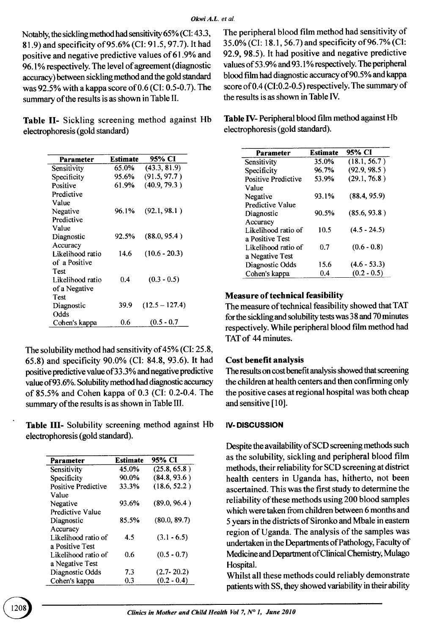Notably, the sickling method had sensitivity 65% (CI: 43.3, 81.9) and specificity of 95.6% (CI: 91.5, 97.7). It had positive and negative predictive values of 61.9% and 96.1% respectively. The level of agreement (diagnostic accuracy) between sickling method and the gold standard was 92.5% with a kappa score of  $0.6$  (CI: 0.5-0.7). The summary of the results is as shown in Table II.

Table II- Sickling screening method against Hb electrophoresis (gold standard)

| Parameter        | Estimate | 95% CI           |
|------------------|----------|------------------|
| Sensitivity      | 65.0%    | (43.3, 81.9)     |
| Specificity      | 95.6%    | (91.5, 97.7)     |
| Positive         | 61.9%    | (40.9, 79.3)     |
| Predictive       |          |                  |
| Value            |          |                  |
| Negative         | 96.1%    | (92.1, 98.1)     |
| Predictive       |          |                  |
| Value            |          |                  |
| Diagnostic       | 92.5%    | (88.0, 95.4)     |
| Accuracy         |          |                  |
| Likelihood ratio | 14.6     | $(10.6 - 20.3)$  |
| of a Positive    |          |                  |
| Test             |          |                  |
| Likelihood ratio | 0.4      | $(0.3 - 0.5)$    |
| of a Negative    |          |                  |
| Test             |          |                  |
| Diagnostic       | 39.9     | $(12.5 - 127.4)$ |
| Odds             |          |                  |
| Cohen's kappa    | 0.6      | $(0.5 - 0.7)$    |

The solubility method had sensitivity of 45% (CI: 25.8, 65.8) and specificity 90.0% (CI: 84.8, 93.6). It had positive predictive value of 33.3% and negative predictive value of 93.6%. Solubility method had diagnostic accuracy of 85.5% and Cohen kappa of 0.3 (CI: 0.2-0.4. The summary of the results is as shown in Table III.

Table III- Solubility screening method against Hb electrophoresis (gold standard).

| Parameter                  | <b>Estimate</b> | 95% CI         |
|----------------------------|-----------------|----------------|
| Sensitivity                | 45.0%           | (25.8, 65.8)   |
| Specificity                | 90.0%           | (84.8, 93.6)   |
| <b>Positive Predictive</b> | 33.3%           | (18.6, 52.2)   |
| Value                      |                 |                |
| Negative                   | 93.6%           | (89.0, 96.4)   |
| Predictive Value           |                 |                |
| Diagnostic                 | 85.5%           | (80.0, 89.7)   |
| Accuracy                   |                 |                |
| Likelihood ratio of        | 4.5             | $(3.1 - 6.5)$  |
| a Positive Test            |                 |                |
| Likelihood ratio of        | 0.6             | $(0.5 - 0.7)$  |
| a Negative Test            |                 |                |
| Diagnostic Odds            | 7.3             | $(2.7 - 20.2)$ |
| Cohen's kappa              | 0.3             | $(0.2 - 0.4)$  |
|                            |                 |                |

The peripheral blood film method had sensitivity of 35.0% (CI: 18.1, 56.7) and specificity of 96.7% (CI: 92.9, 98.5). It had positive and negative predictive values of 53.9% and 93.1% respectively. The peripheral blood film had diagnostic accuracy of 90.5% and kappa score of 0.4 (CI:0.2-0.5) respectively. The summary of the results is as shown in Table IV.

Table IV- Peripheral blood film method against Hb electrophoresis (gold standard).

| Parameter                  | <b>Estimate</b> | 95% CI         |
|----------------------------|-----------------|----------------|
| Sensitivity                | 35.0%           | (18.1, 56.7)   |
| Specificity                | 96.7%           | (92.9, 98.5)   |
| <b>Positive Predictive</b> | 53.9%           | (29.1, 76.8)   |
| Value                      |                 |                |
| Negative                   | 93.1%           | (88.4, 95.9)   |
| Predictive Value           |                 |                |
| Diagnostic                 | 90.5%           | (85.6, 93.8)   |
| Accuracy                   |                 |                |
| Likelihood ratio of        | 10.5            | $(4.5 - 24.5)$ |
| a Positive Test            |                 |                |
| Likelihood ratio of        | 0.7             | $(0.6 - 0.8)$  |
| a Negative Test            |                 |                |
| Diagnostic Odds            | 15.6            | $(4.6 - 53.3)$ |
| Cohen's kappa              | 0.4             | $(0.2 - 0.5)$  |

## **Measure of technical feasibility**

The measure of technical feasibility showed that TAT for the sickling and solubility tests was 38 and 70 minutes respectively. While peripheral blood film method had TAT of 44 minutes.

## **Cost benefit analysis**

The results on cost benefit analysis showed that screening the children at health centers and then confirming only the positive cases at regional hospital was both cheap and sensitive [10].

## **IV-DISCUSSION**

Despite the availability of SCD screening methods such as the solubility, sickling and peripheral blood film methods, their reliability for SCD screening at district health centers in Uganda has, hitherto, not been ascertained. This was the first study to determine the reliability of these methods using 200 blood samples which were taken from children between 6 months and 5 years in the districts of Sironko and Mbale in eastern region of Uganda. The analysis of the samples was undertaken in the Departments of Pathology, Faculty of Medicine and Department of Clinical Chemistry, Mulago Hospital.

Whilst all these methods could reliably demonstrate patients with SS, they showed variability in their ability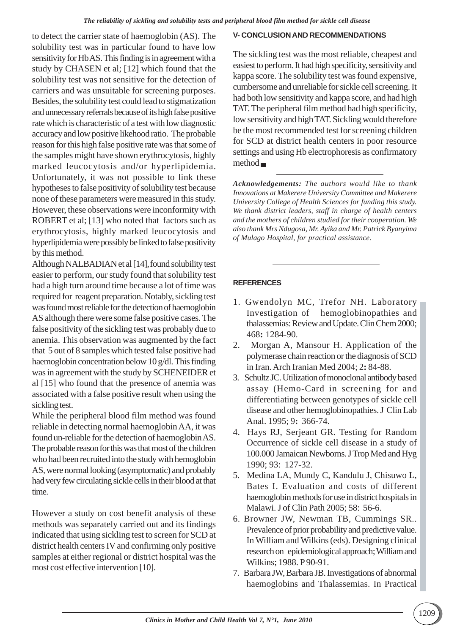to detect the carrier state of haemoglobin (AS). The solubility test was in particular found to have low sensitivity for Hb AS. This finding is in agreement with a study by CHASEN et al; [12] which found that the solubility test was not sensitive for the detection of carriers and was unsuitable for screening purposes. Besides, the solubility test could lead to stigmatization and unnecessary referrals because of its high false positive rate which is characteristic of a test with low diagnostic accuracy and low positive likehood ratio. The probable reason for this high false positive rate was that some of the samples might have shown erythrocytosis, highly marked leucocytosis and/or hyperlipidemia. Unfortunately, it was not possible to link these hypotheses to false positivity of solubility test because none of these parameters were measured in this study. However, these observations were inconformity with ROBERT et al; [13] who noted that factors such as erythrocytosis, highly marked leucocytosis and hyperlipidemia were possibly be linked to false positivity by this method.

Although NALBADIAN et al [14], found solubility test easier to perform, our study found that solubility test had a high turn around time because a lot of time was required for reagent preparation. Notably, sickling test was found most reliable for the detection of haemoglobin AS although there were some false positive cases. The false positivity of the sickling test was probably due to anemia. This observation was augmented by the fact that 5 out of 8 samples which tested false positive had haemoglobin concentration below 10 g/dl. This finding was in agreement with the study by SCHENEIDER et al [15] who found that the presence of anemia was associated with a false positive result when using the sickling test.

While the peripheral blood film method was found reliable in detecting normal haemoglobin AA, it was found un-reliable for the detection of haemoglobin AS. The probable reason for this was that most of the children who had been recruited into the study with hemoglobin AS, were normal looking (asymptomatic) and probably had very few circulating sickle cells in their blood at that time.

However a study on cost benefit analysis of these methods was separately carried out and its findings indicated that using sickling test to screen for SCD at district health centers IV and confirming only positive samples at either regional or district hospital was the most cost effective intervention [10].

# **V- CONCLUSION AND RECOMMENDATIONS**

The sickling test was the most reliable, cheapest and easiest to perform. It had high specificity, sensitivity and kappa score. The solubility test was found expensive, cumbersome and unreliable for sickle cell screening. It had both low sensitivity and kappa score, and had high TAT. The peripheral film method had high specificity, low sensitivity and high TAT. Sickling would therefore be the most recommended test for screening children for SCD at district health centers in poor resource settings and using Hb electrophoresis as confirmatory method

*Acknowledgements: The authors would like to thank Innovations at Makerere University Committee and Makerere University College of Health Sciences for funding this study. We thank district leaders, staff in charge of health centers and the mothers of children studied for their cooperation. We also thank Mrs Ndugosa, Mr. Ayika and Mr. Patrick Byanyima of Mulago Hospital, for practical assistance.*

# **REFERENCES**

- 1. Gwendolyn MC, Trefor NH. Laboratory Investigation of hemoglobinopathies and thalassemias: Review and Update. Clin Chem 2000; 468**:** 1284-90.
- 2. Morgan A, Mansour H. Application of the polymerase chain reaction or the diagnosis of SCD in Iran. Arch Iranian Med 2004; 2**:** 84-88.
- 3. Schultz JC. Utilization of monoclonal antibody based assay (Hemo-Card in screening for and differentiating between genotypes of sickle cell disease and other hemoglobinopathies. J Clin Lab Anal. 1995; 9**:** 366-74.
- 4. Hays RJ, Serjeant GR. Testing for Random Occurrence of sickle cell disease in a study of 100.000 Jamaican Newborns. J Trop Med and Hyg 1990; 93: 127-32.
- 5. Medina LA, Mundy C, Kandulu J, Chisuwo L, Bates I. Evaluation and costs of different haemoglobin methods for use in district hospitals in Malawi. J of Clin Path 2005; 58: 56-6.
- 6. Browner JW, Newman TB, Cummings SR.. Prevalence of prior probability and predictive value. In William and Wilkins (eds). Designing clinical research on epidemiological approach; William and Wilkins; 1988. P90-91.
- 7. Barbara JW, Barbara JB. Investigations of abnormal haemoglobins and Thalassemias. In Practical